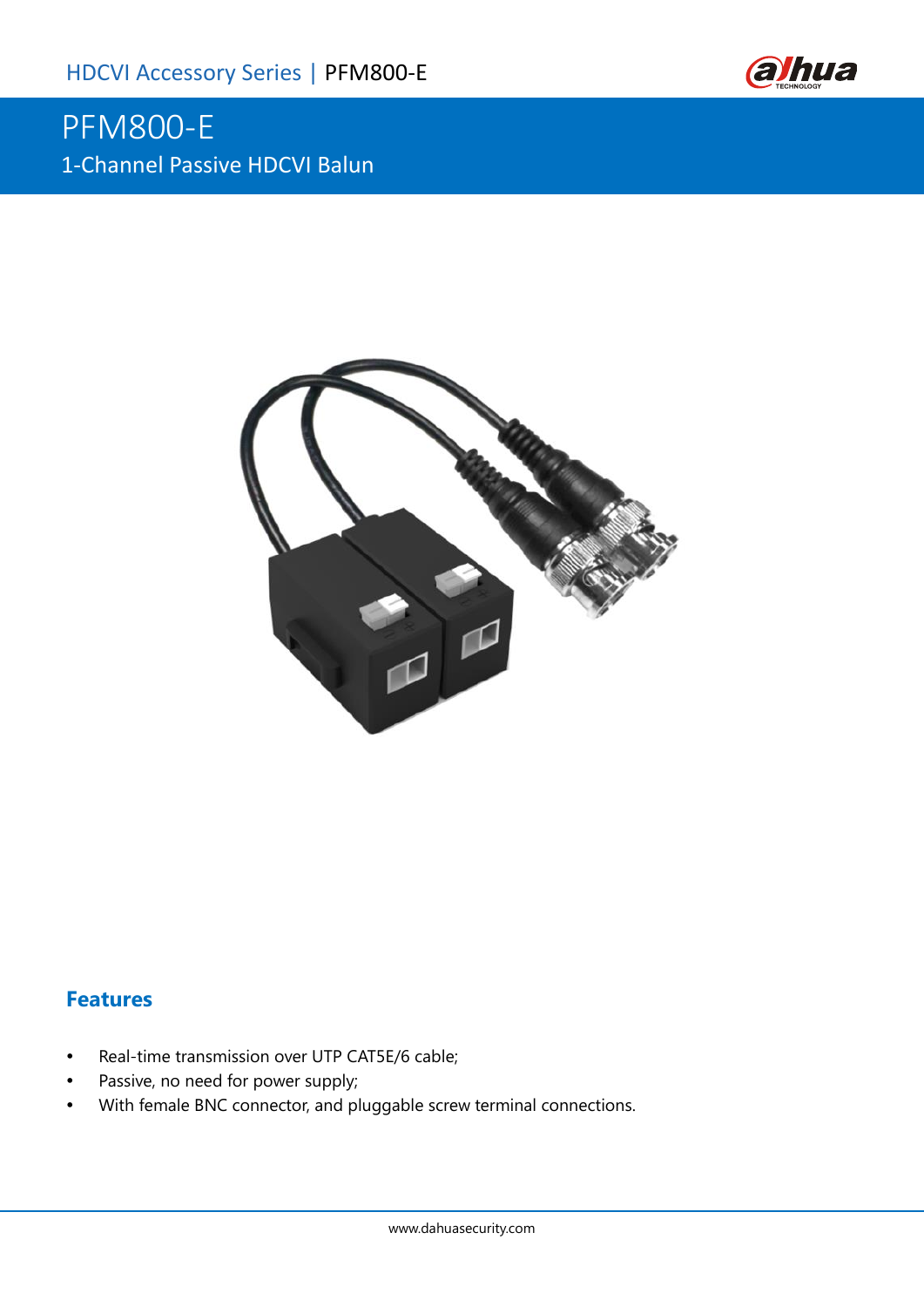

# PFM800-E 1-Channel Passive HDCVI Balun



#### **Features**

- Real-time transmission over UTP CAT5E/6 cable;
- Passive, no need for power supply;
- With female BNC connector, and pluggable screw terminal connections.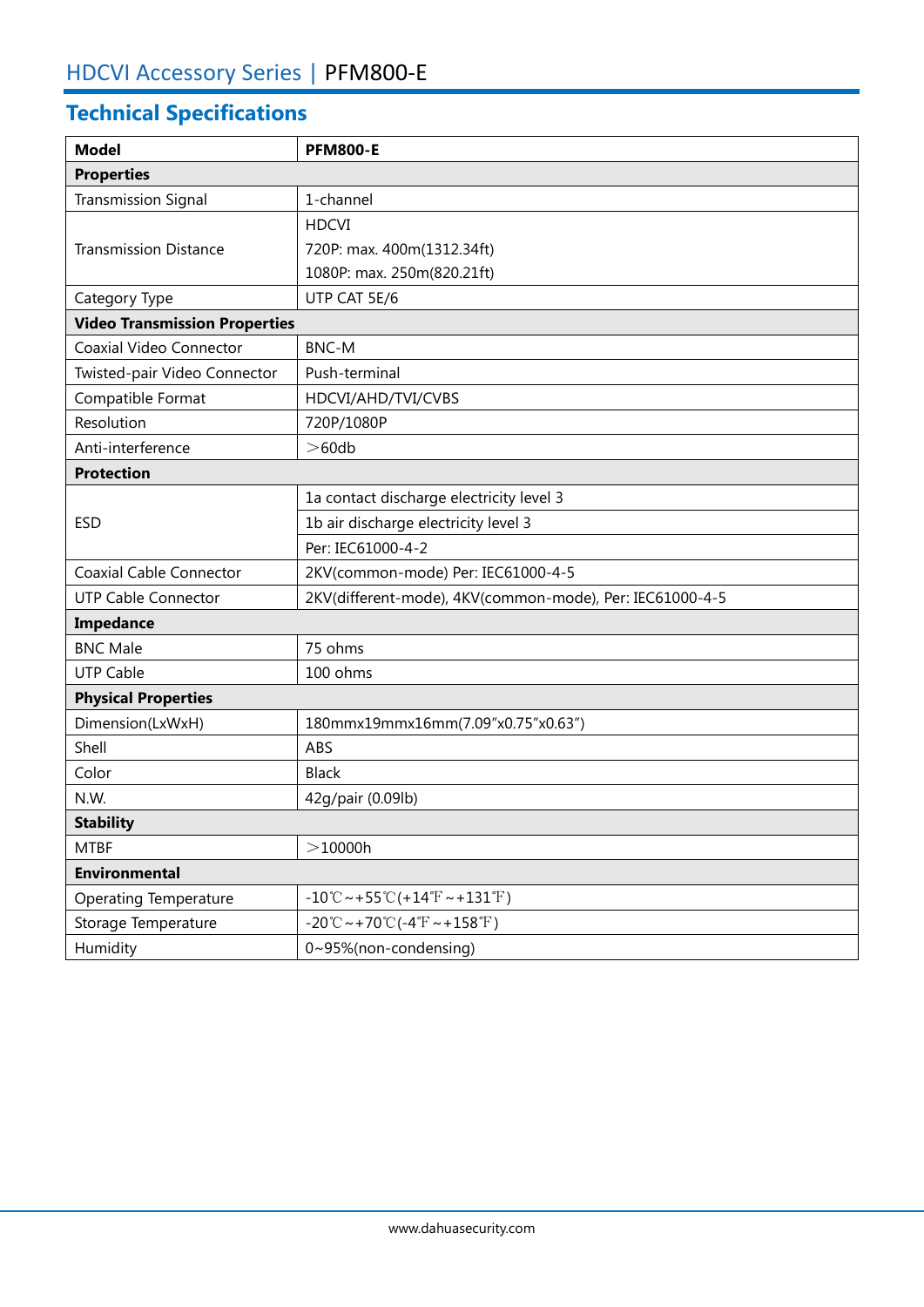## **Technical Specifications**

| <b>Model</b>                         | <b>PFM800-E</b>                                                            |  |  |
|--------------------------------------|----------------------------------------------------------------------------|--|--|
| <b>Properties</b>                    |                                                                            |  |  |
| <b>Transmission Signal</b>           | 1-channel                                                                  |  |  |
|                                      | <b>HDCVI</b>                                                               |  |  |
| <b>Transmission Distance</b>         | 720P: max. 400m(1312.34ft)                                                 |  |  |
|                                      | 1080P: max. 250m(820.21ft)                                                 |  |  |
| Category Type                        | UTP CAT 5E/6                                                               |  |  |
| <b>Video Transmission Properties</b> |                                                                            |  |  |
| Coaxial Video Connector              | <b>BNC-M</b>                                                               |  |  |
| Twisted-pair Video Connector         | Push-terminal                                                              |  |  |
| Compatible Format                    | HDCVI/AHD/TVI/CVBS                                                         |  |  |
| Resolution                           | 720P/1080P                                                                 |  |  |
| Anti-interference                    | >60db                                                                      |  |  |
| <b>Protection</b>                    |                                                                            |  |  |
| <b>ESD</b>                           | 1a contact discharge electricity level 3                                   |  |  |
|                                      | 1b air discharge electricity level 3                                       |  |  |
|                                      | Per: IEC61000-4-2                                                          |  |  |
| <b>Coaxial Cable Connector</b>       | 2KV(common-mode) Per: IEC61000-4-5                                         |  |  |
| <b>UTP Cable Connector</b>           | 2KV(different-mode), 4KV(common-mode), Per: IEC61000-4-5                   |  |  |
| Impedance                            |                                                                            |  |  |
| <b>BNC Male</b>                      | 75 ohms                                                                    |  |  |
| <b>UTP Cable</b>                     | 100 ohms                                                                   |  |  |
| <b>Physical Properties</b>           |                                                                            |  |  |
| Dimension(LxWxH)                     | 180mmx19mmx16mm(7.09"x0.75"x0.63")                                         |  |  |
| Shell                                | ABS                                                                        |  |  |
| Color                                | <b>Black</b>                                                               |  |  |
| N.W.                                 | 42g/pair (0.09lb)                                                          |  |  |
| <b>Stability</b>                     |                                                                            |  |  |
| <b>MTBF</b>                          | >10000h                                                                    |  |  |
| <b>Environmental</b>                 |                                                                            |  |  |
| <b>Operating Temperature</b>         | $-10^{\circ}$ C ~ + 55 $^{\circ}$ C(+14 $^{\circ}$ F ~ + 131 $^{\circ}$ F) |  |  |
| Storage Temperature                  | $-20^{\circ}$ C ~ +70 $^{\circ}$ C (-4 $^{\circ}$ F ~ +158 $^{\circ}$ F)   |  |  |
| Humidity                             | 0~95%(non-condensing)                                                      |  |  |